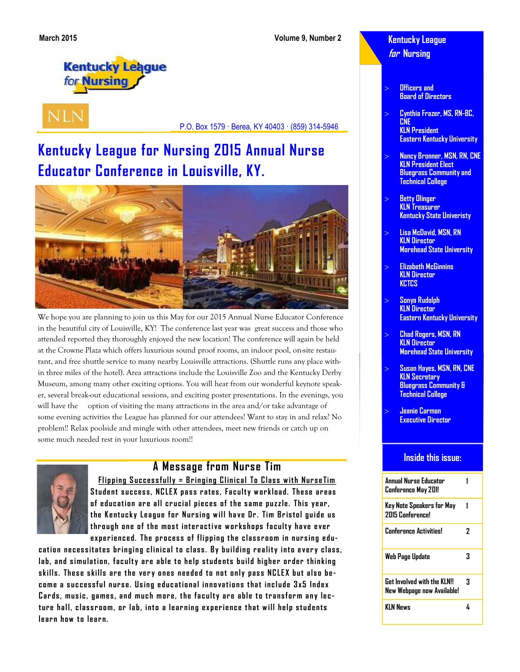**Kentucky League for Nursing** 

**Kentucky League** for **Nursing** 

**NLN** 

P.O. Box 1579 · Berea, KY 40403 · (859) 314-5946

# **Kentucky League for Nursing 2015 Annual Nurse Educator Conference in Louisville, KY.**



We hope you are planning to join us this May for our 2015 Annual Nurse Educator Conference in the beautiful city of Louisville, KY! The conference last year was great success and those who attended reported they thoroughly enjoyed the new location! The conference will again be held at the Crowne Plaza which offers luxurious sound proof rooms, an indoor pool, on-site restaurant, and free shuttle service to many nearby Louisville attractions. (Shuttle runs any place within three miles of the hotel). Area attractions include the Louisville Zoo and the Kentucky Derby Museum, among many other exciting options. You will hear from our wonderful keynote speaker, several break-out educational sessions, and exciting poster presentations. In the evenings, you will have the option of visiting the many attractions in the area and/or take advantage of some evening activities the League has planned for our attendees! Want to stay in and relax? No problem!! Relax poolside and mingle with other attendees, meet new friends or catch up on some much needed rest in your luxurious room!!



### **A Message from Nurse Tim**

**Flipping Successfully = Bringing Clinical To Class with NurseTim Student success, NCLEX pass rates, Faculty workload. These areas** of education are all crucial pieces of the same puzzle. This year, **t he K e nt uc k y Le a gue for Nur s ing w il l ha ve Dr . Tim Br is tol gu ide us**  through one of the most interactive workshops faculty have ever experienced. The process of flipping the classroom in nursing edu-

cation necessitates bringing clinical to class. By building reality into every class, lab, and simulation, faculty are able to help students build higher order thinking skills. These skills are the very ones needed to not only pass NCLEX but also become a successful nurse. Using educational innovations that include 3x5 Index Cards, music, games, and much more, the faculty are able to transform any lecture hall, classroom, or lab, into a learning experience that will help students **learn how to learn.** 

#### **Officers and Board of Directors**

- **Cynthia Frazer, MS, RN-BC, CNE KLN President Eastern Kentucky University**
- **Nancy Bronner, MSN, RN, CNE KLN President Elect Bluegrass Community and Technical College**
- **Betty Olinger KLN Treasurer Kentucky State Univeristy**
- **Lisa McDavid, MSN, RN KLN Director Morehead State University**
- **Elizabeth McGinnins KLN Director KCTCS**
- **Sonya Rudolph KLN Director Eastern Kentucky University**
- **Chad Rogers, MSN, RN KLN Director Morehead State University**
- **Susan Hayes, MSN, RN, CNE KLN Secretary Bluegrass Community & Technical College**
- **Jeanie Carman Executive Director**

#### **Inside this issue:**

| Annual Nurse Educator<br>Conference May 201!                     |   |
|------------------------------------------------------------------|---|
| Key Note Speakers for May<br><b>2015 Conferencel</b>             |   |
| <b>Conference Activities!</b>                                    | 7 |
| Web Page Update                                                  | 3 |
| <b>Get Involved with the KLNII</b><br>New Webpage now Available! | 3 |
| KIN News                                                         |   |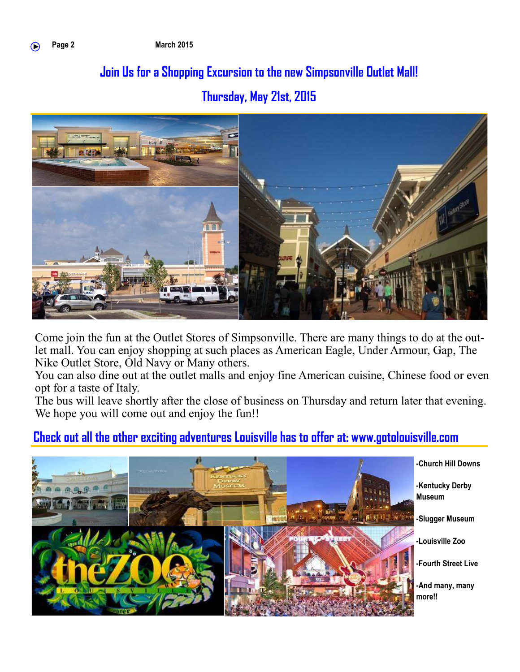# **Join Us for a Shopping Excursion to the new Simpsonville Outlet Mall! Thursday, May 21st, 2015**



Come join the fun at the Outlet Stores of Simpsonville. There are many things to do at the outlet mall. You can enjoy shopping at such places as American Eagle, Under Armour, Gap, The Nike Outlet Store, Old Navy or Many others.

You can also dine out at the outlet malls and enjoy fine American cuisine, Chinese food or even opt for a taste of Italy.

The bus will leave shortly after the close of business on Thursday and return later that evening. We hope you will come out and enjoy the fun!!

### **Check out all the other exciting adventures Louisville has to offer at: www.gotolouisville.com**

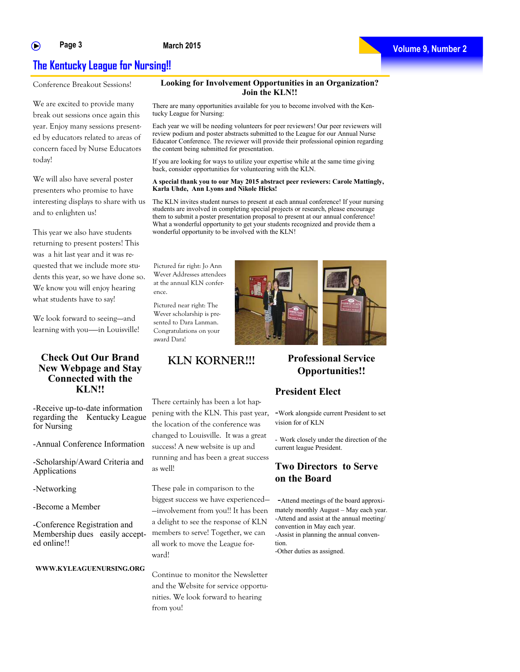#### ∩

#### **March 2015**

### **The Kentucky League for Nursing!!**

Conference Breakout Sessions!

We are excited to provide many break out sessions once again this year. Enjoy many sessions presented by educators related to areas of concern faced by Nurse Educators today!

We will also have several poster presenters who promise to have interesting displays to share with us and to enlighten us!

This year we also have students returning to present posters! This was a hit last year and it was requested that we include more students this year, so we have done so. We know you will enjoy hearing what students have to say!

We look forward to seeing-and learning with you——in Louisville!

#### **Check Out Our Brand New Webpage and Stay Connected with the KLN!!**

-Receive up-to-date information regarding the Kentucky League for Nursing

-Annual Conference Information

-Scholarship/Award Criteria and Applications

-Networking

-Become a Member

-Conference Registration and Membership dues easily accepted online!!

#### **WWW.KYLEAGUENURSING.ORG**

There are many opportunities available for you to become involved with the Kentucky League for Nursing:

**Looking for Involvement Opportunities in an Organization? Join the KLN!!**

Each year we will be needing volunteers for peer reviewers! Our peer reviewers will review podium and poster abstracts submitted to the League for our Annual Nurse Educator Conference. The reviewer will provide their professional opinion regarding the content being submitted for presentation.

If you are looking for ways to utilize your expertise while at the same time giving back, consider opportunities for volunteering with the KLN.

#### **A special thank you to our May 2015 abstract peer reviewers: Carole Mattingly, Karla Uhde, Ann Lyons and Nikole Hicks!**

The KLN invites student nurses to present at each annual conference! If your nursing students are involved in completing special projects or research, please encourage them to submit a poster presentation proposal to present at our annual conference! What a wonderful opportunity to get your students recognized and provide them a wonderful opportunity to be involved with the KLN!

Pictured far right: Jo Ann Wever Addresses attendees at the annual KLN conference.

Pictured near right: The Wever scholarship is presented to Dara Lanman. Congratulations on your award Dara!

There certainly has been a lot happening with the KLN. This past year, the location of the conference was changed to Louisville. It was a great success! A new website is up and running and has been a great success as well!

These pale in comparison to the biggest success we have experienced— —involvement from you!! It has been a delight to see the response of KLN members to serve! Together, we can all work to move the League forward!

Continue to monitor the Newsletter and the Website for service opportunities. We look forward to hearing from you!

### **KLN KORNER!!! Professional Service Opportunities!!**

#### **President Elect**

-Work alongside current President to set vision for of KLN

- Work closely under the direction of the current league President.

#### **Two Directors to Serve on the Board**

-Attend meetings of the board approximately monthly August – May each year. -Attend and assist at the annual meeting/ convention in May each year. -Assist in planning the annual convention. -Other duties as assigned.